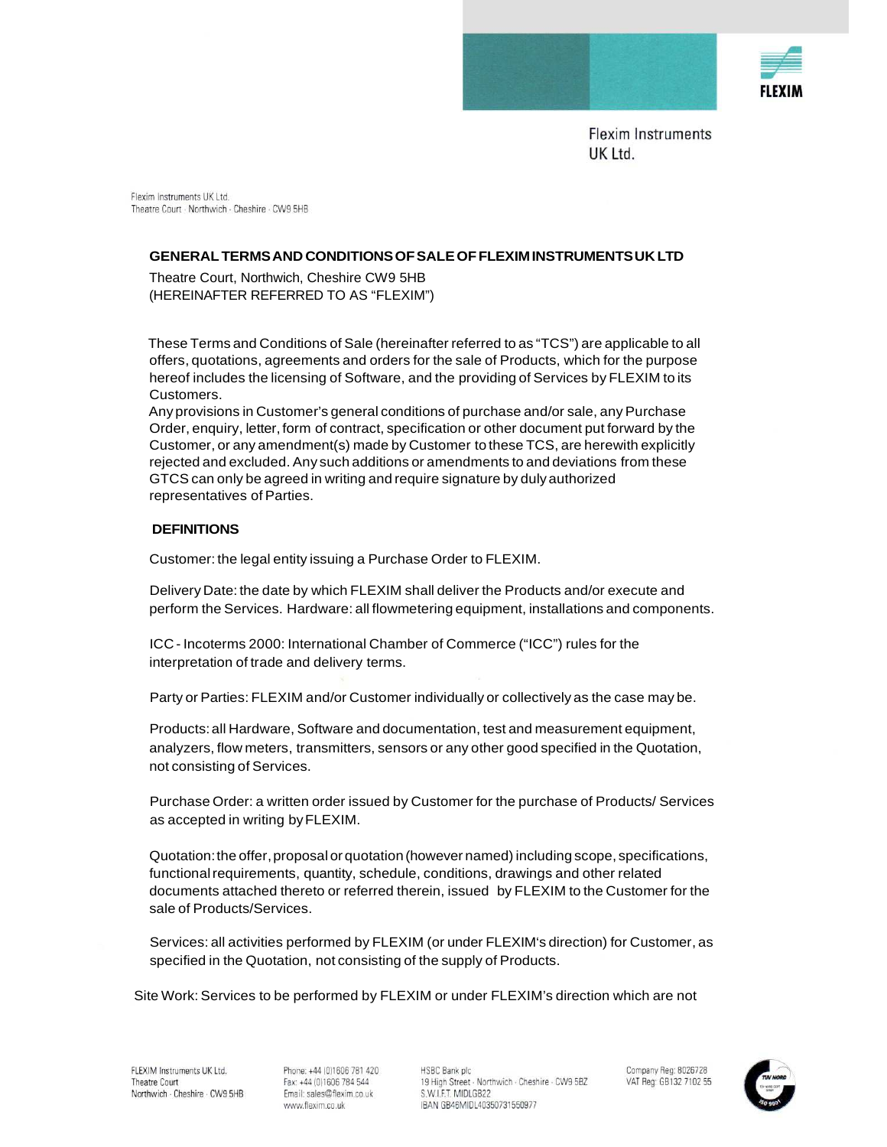

Flexim Instruments LIK Ltd Theatre Court - Northwich - Cheshire - CW9 5HB

### **GENERAL TERMS AND CONDITIONS OF SALE OF FLEXIM INSTRUMENTS UK LTD**

Theatre Court, Northwich, Cheshire CW9 5HB (HEREINAFTER REFERRED TO AS "FLEXIM")

These Terms and Conditions of Sale (hereinafter referred to as "TCS") are applicable to all offers, quotations, agreements and orders for the sale of Products, which for the purpose hereof includes the licensing of Software, and the providing of Services by FLEXIM to its Customers.

Any provisions in Customer's general conditions of purchase and/or sale, any Purchase Order, enquiry, letter, form of contract, specification or other document put forward by the Customer, or any amendment(s) made by Customer to these TCS, are herewith explicitly rejected and excluded. Any such additions or amendments to and deviations from these GTCS can only be agreed in writing and require signature by duly authorized representatives of Parties.

### **DEFINITIONS**

Customer: the legal entity issuing a Purchase Order to FLEXIM.

Delivery Date: the date by which FLEXIM shall deliver the Products and/or execute and perform the Services. Hardware: all flowmetering equipment, installations and components.

ICC - Incoterms 2000: International Chamber of Commerce ("ICC") rules for the interpretation of trade and delivery terms.

Party or Parties: FLEXIM and/or Customer individually or collectively as the case may be.

Products: all Hardware, Software and documentation, test and measurement equipment, analyzers, flow meters, transmitters, sensors or any other good specified in the Quotation, not consisting of Services.

Purchase Order: a written order issued by Customer for the purchase of Products/ Services as accepted in writing by FLEXIM.

Quotation: the offer, proposal or quotation (however named) including scope, specifications, functional requirements, quantity, schedule, conditions, drawings and other related documents attached thereto or referred therein, issued by FLEXIM to the Customer for the sale of Products/Services.

Services: all activities performed by FLEXIM (or under FLEXIM's direction) for Customer, as specified in the Quotation, not consisting of the supply of Products.

Site Work: Services to be performed by FLEXIM or under FLEXIM's direction which are not

Phone: +44 (0)1606 781 420 Fax: +44 (0)1606 784 544 Email: sales@flexim.co.uk www.flexim.co.uk

**HSBC Bank plc** 19 High Street - Northwich - Cheshire - CW9 5BZ S.W.I.F.T. MIDLGB22 IBAN GB46MIDL40350731550977

Company Reg: 8026728 VAT Reg: GB132 7102 55

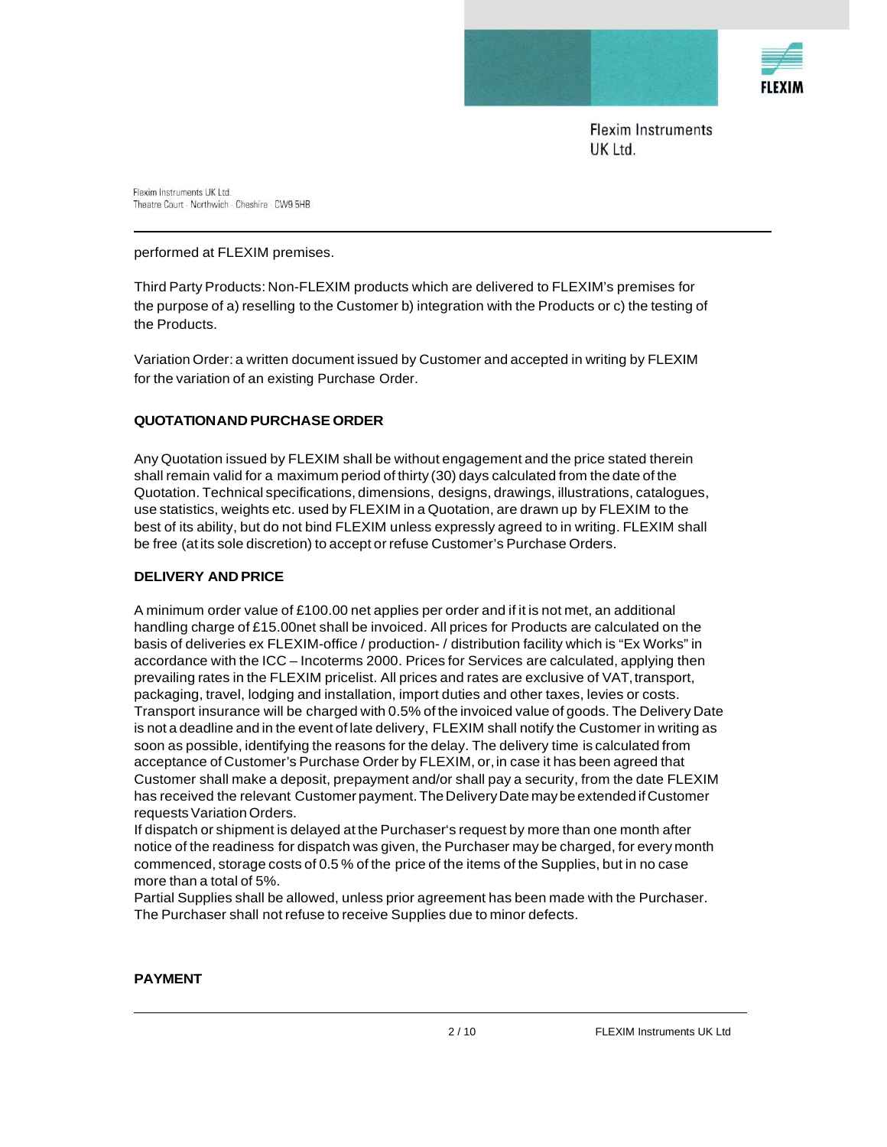

Flexim Instruments UK Ltd. Theatre Court · Northwich · Cheshire · CW9 5HB

#### performed at FLEXIM premises.

Third Party Products: Non-FLEXIM products which are delivered to FLEXIM's premises for the purpose of a) reselling to the Customer b) integration with the Products or c) the testing of the Products.

Variation Order: a written document issued by Customer and accepted in writing by FLEXIM for the variation of an existing Purchase Order.

### **QUOTATION AND PURCHASE ORDER**

Any Quotation issued by FLEXIM shall be without engagement and the price stated therein shall remain valid for a maximum period of thirty (30) days calculated from the date of the Quotation. Technical specifications, dimensions, designs, drawings, illustrations, catalogues, use statistics, weights etc. used by FLEXIM in a Quotation, are drawn up by FLEXIM to the best of its ability, but do not bind FLEXIM unless expressly agreed to in writing. FLEXIM shall be free (at its sole discretion) to accept or refuse Customer's Purchase Orders.

### **DELIVERY AND PRICE**

A minimum order value of £100.00 net applies per order and if it is not met, an additional handling charge of £15.00net shall be invoiced. All prices for Products are calculated on the basis of deliveries ex FLEXIM-office / production- / distribution facility which is "Ex Works" in accordance with the ICC – Incoterms 2000. Prices for Services are calculated, applying then prevailing rates in the FLEXIM pricelist. All prices and rates are exclusive of VAT, transport, packaging, travel, lodging and installation, import duties and other taxes, levies or costs. Transport insurance will be charged with 0.5% of the invoiced value of goods. The Delivery Date is not a deadline and in the event of late delivery, FLEXIM shall notify the Customer in writing as soon as possible, identifying the reasons for the delay. The delivery time is calculated from acceptance of Customer's Purchase Order by FLEXIM, or, in case it has been agreed that Customer shall make a deposit, prepayment and/or shall pay a security, from the date FLEXIM has received the relevant Customer payment. The Delivery Date may be extended if Customer requests Variation Orders.

If dispatch or shipment is delayed at the Purchaser's request by more than one month after notice of the readiness for dispatch was given, the Purchaser may be charged, for every month commenced, storage costs of 0.5 % of the price of the items of the Supplies, but in no case more than a total of 5%.

Partial Supplies shall be allowed, unless prior agreement has been made with the Purchaser. The Purchaser shall not refuse to receive Supplies due to minor defects.

### **PAYMENT**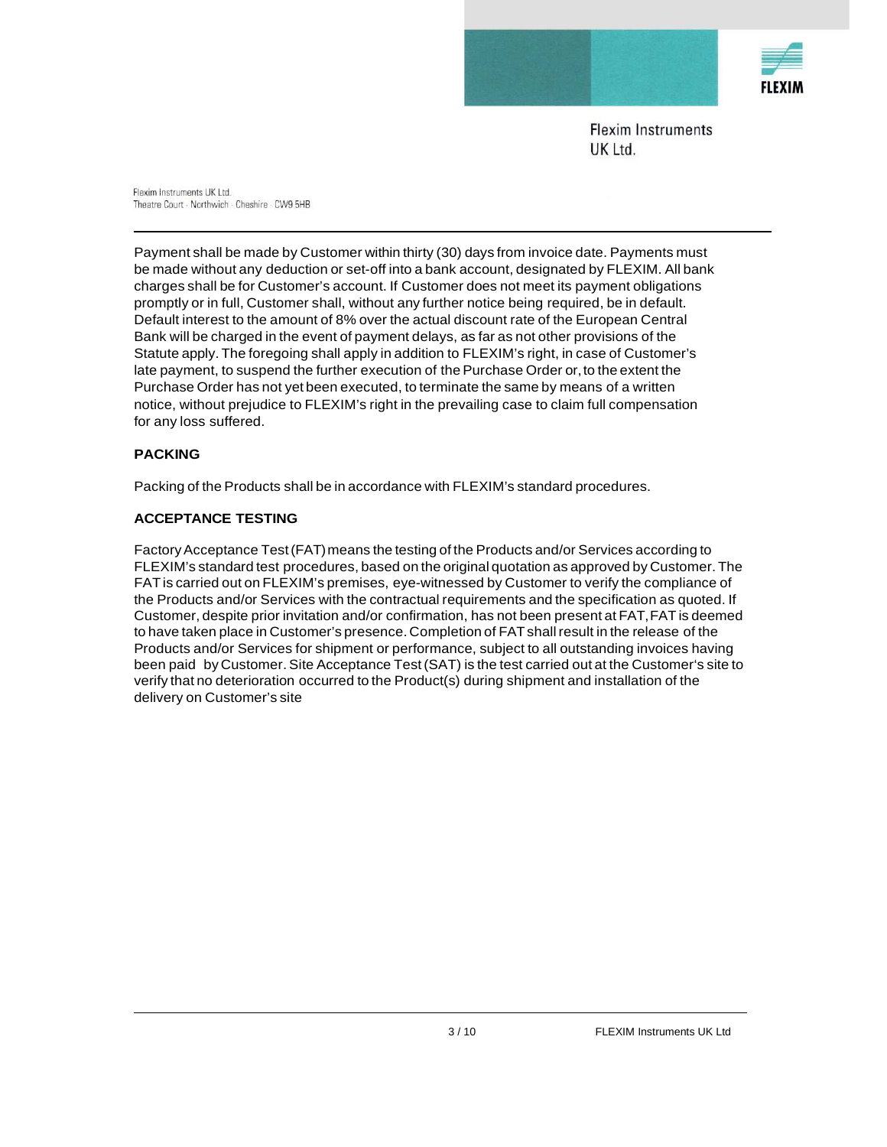

Flexim Instruments UK Ltd. Theatre Court · Northwich · Cheshire · CW9 5HB

Payment shall be made by Customer within thirty (30) days from invoice date. Payments must be made without any deduction or set-off into a bank account, designated by FLEXIM. All bank charges shall be for Customer's account. If Customer does not meet its payment obligations promptly or in full, Customer shall, without any further notice being required, be in default. Default interest to the amount of 8% over the actual discount rate of the European Central Bank will be charged in the event of payment delays, as far as not other provisions of the Statute apply. The foregoing shall apply in addition to FLEXIM's right, in case of Customer's late payment, to suspend the further execution of the Purchase Order or, to the extent the Purchase Order has not yet been executed, to terminate the same by means of a written notice, without prejudice to FLEXIM's right in the prevailing case to claim full compensation for any loss suffered.

# **PACKING**

Packing of the Products shall be in accordance with FLEXIM's standard procedures.

# **ACCEPTANCE TESTING**

Factory Acceptance Test (FAT) means the testing of the Products and/or Services according to FLEXIM's standard test procedures, based on the original quotation as approved by Customer. The FAT is carried out on FLEXIM's premises, eye-witnessed by Customer to verify the compliance of the Products and/or Services with the contractual requirements and the specification as quoted. If Customer, despite prior invitation and/or confirmation, has not been present at FAT, FAT is deemed to have taken place in Customer's presence. Completion of FAT shall result in the release of the Products and/or Services for shipment or performance, subject to all outstanding invoices having been paid by Customer. Site Acceptance Test (SAT) is the test carried out at the Customer's site to verify that no deterioration occurred to the Product(s) during shipment and installation of the delivery on Customer's site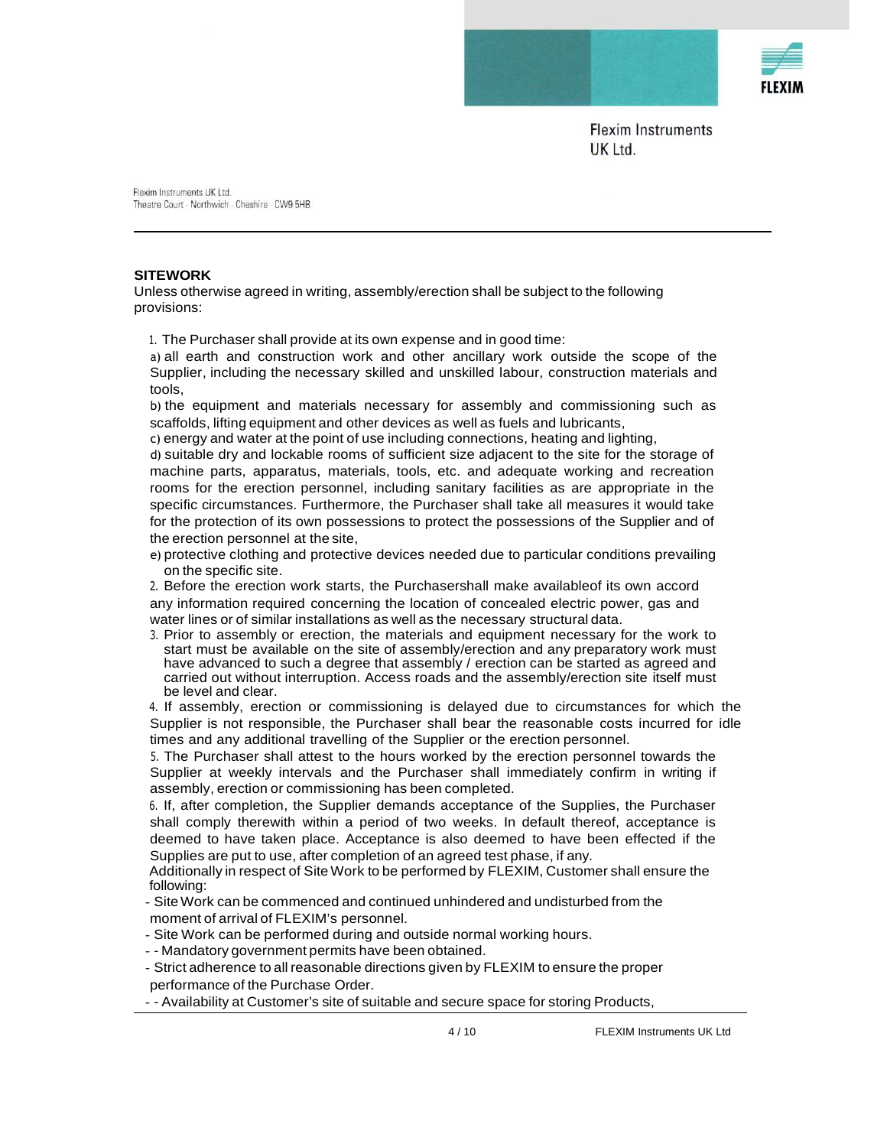

Flexim Instruments UK Ltd. Theatre Court - Northwich - Cheshire - CW9 5HB

#### **SITEWORK**

Unless otherwise agreed in writing, assembly/erection shall be subject to the following provisions:

1. The Purchaser shall provide at its own expense and in good time:

a) all earth and construction work and other ancillary work outside the scope of the Supplier, including the necessary skilled and unskilled labour, construction materials and tools,

b) the equipment and materials necessary for assembly and commissioning such as scaffolds, lifting equipment and other devices as well as fuels and lubricants,

c) energy and water at the point of use including connections, heating and lighting,

d) suitable dry and lockable rooms of sufficient size adjacent to the site for the storage of machine parts, apparatus, materials, tools, etc. and adequate working and recreation rooms for the erection personnel, including sanitary facilities as are appropriate in the specific circumstances. Furthermore, the Purchaser shall take all measures it would take for the protection of its own possessions to protect the possessions of the Supplier and of the erection personnel at the site,

e) protective clothing and protective devices needed due to particular conditions prevailing on the specific site.

2. Before the erection work starts, the Purchasershall make availableof its own accord any information required concerning the location of concealed electric power, gas and water lines or of similar installations as well as the necessary structural data.

3. Prior to assembly or erection, the materials and equipment necessary for the work to start must be available on the site of assembly/erection and any preparatory work must have advanced to such a degree that assembly / erection can be started as agreed and carried out without interruption. Access roads and the assembly/erection site itself must be level and clear.

4. If assembly, erection or commissioning is delayed due to circumstances for which the Supplier is not responsible, the Purchaser shall bear the reasonable costs incurred for idle times and any additional travelling of the Supplier or the erection personnel.

5. The Purchaser shall attest to the hours worked by the erection personnel towards the Supplier at weekly intervals and the Purchaser shall immediately confirm in writing if assembly, erection or commissioning has been completed.

6. If, after completion, the Supplier demands acceptance of the Supplies, the Purchaser shall comply therewith within a period of two weeks. In default thereof, acceptance is deemed to have taken place. Acceptance is also deemed to have been effected if the Supplies are put to use, after completion of an agreed test phase, if any.

Additionally in respect of Site Work to be performed by FLEXIM, Customer shall ensure the following:

- Site Work can be commenced and continued unhindered and undisturbed from the moment of arrival of FLEXIM's personnel.

- Site Work can be performed during and outside normal working hours.

- - Mandatory government permits have been obtained.

- Strict adherence to all reasonable directions given by FLEXIM to ensure the proper performance of the Purchase Order.

- - Availability at Customer's site of suitable and secure space for storing Products,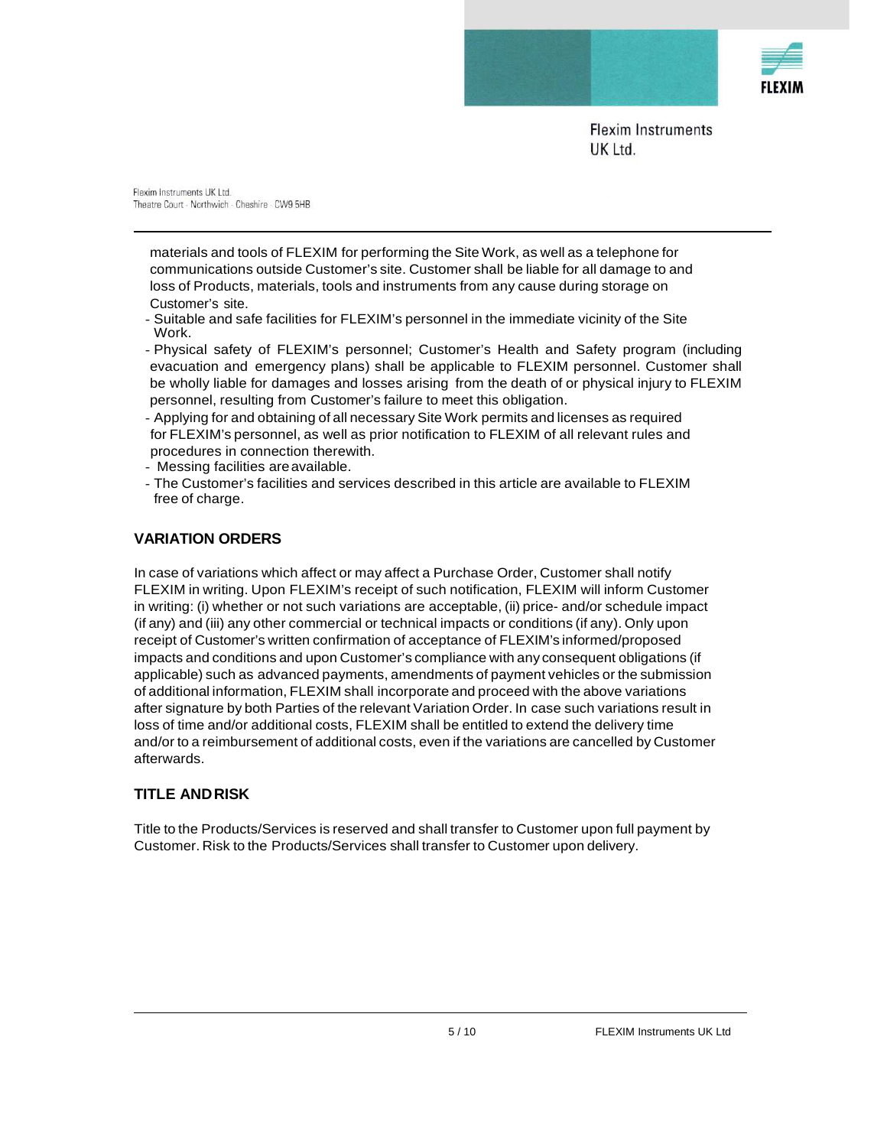

Flexim Instruments UK Ltd. Theatre Court · Northwich · Cheshire · CW9 5HB

materials and tools of FLEXIM for performing the Site Work, as well as a telephone for communications outside Customer's site. Customer shall be liable for all damage to and loss of Products, materials, tools and instruments from any cause during storage on Customer's site.

- Suitable and safe facilities for FLEXIM's personnel in the immediate vicinity of the Site Work.
- Physical safety of FLEXIM's personnel; Customer's Health and Safety program (including evacuation and emergency plans) shall be applicable to FLEXIM personnel. Customer shall be wholly liable for damages and losses arising from the death of or physical injury to FLEXIM personnel, resulting from Customer's failure to meet this obligation.
- Applying for and obtaining of all necessary Site Work permits and licenses as required for FLEXIM's personnel, as well as prior notification to FLEXIM of all relevant rules and procedures in connection therewith.
- Messing facilities are available.
- The Customer's facilities and services described in this article are available to FLEXIM free of charge.

# **VARIATION ORDERS**

In case of variations which affect or may affect a Purchase Order, Customer shall notify FLEXIM in writing. Upon FLEXIM's receipt of such notification, FLEXIM will inform Customer in writing: (i) whether or not such variations are acceptable, (ii) price- and/or schedule impact (if any) and (iii) any other commercial or technical impacts or conditions (if any). Only upon receipt of Customer's written confirmation of acceptance of FLEXIM's informed/proposed impacts and conditions and upon Customer's compliance with any consequent obligations (if applicable) such as advanced payments, amendments of payment vehicles or the submission of additional information, FLEXIM shall incorporate and proceed with the above variations after signature by both Parties of the relevant Variation Order. In case such variations result in loss of time and/or additional costs, FLEXIM shall be entitled to extend the delivery time and/or to a reimbursement of additional costs, even if the variations are cancelled by Customer afterwards.

# **TITLE AND RISK**

Title to the Products/Services is reserved and shall transfer to Customer upon full payment by Customer. Risk to the Products/Services shall transfer to Customer upon delivery.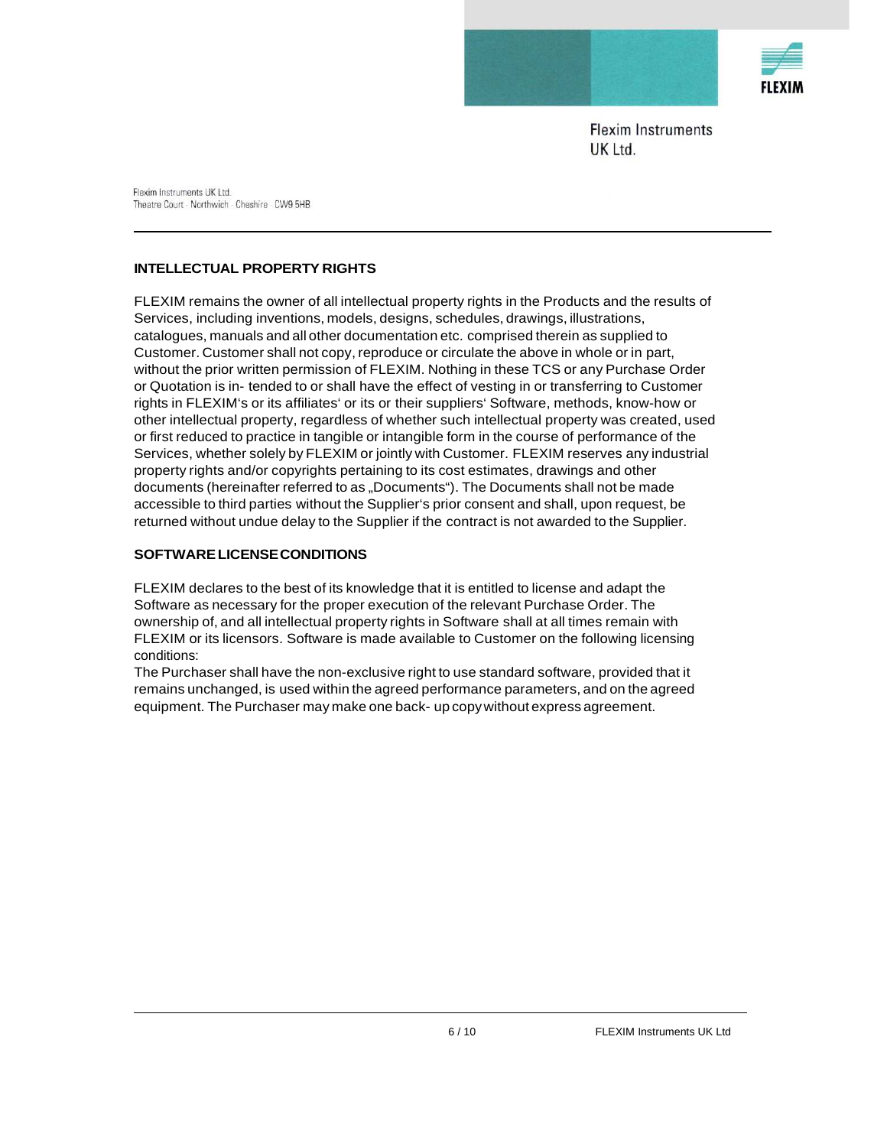

Flexim Instruments UK Ltd. Theatre Court · Northwich · Cheshire · CW9 5HB

## **INTELLECTUAL PROPERTY RIGHTS**

FLEXIM remains the owner of all intellectual property rights in the Products and the results of Services, including inventions, models, designs, schedules, drawings, illustrations, catalogues, manuals and all other documentation etc. comprised therein as supplied to Customer. Customer shall not copy, reproduce or circulate the above in whole or in part, without the prior written permission of FLEXIM. Nothing in these TCS or any Purchase Order or Quotation is in- tended to or shall have the effect of vesting in or transferring to Customer rights in FLEXIM's or its affiliates' or its or their suppliers' Software, methods, know-how or other intellectual property, regardless of whether such intellectual property was created, used or first reduced to practice in tangible or intangible form in the course of performance of the Services, whether solely by FLEXIM or jointly with Customer. FLEXIM reserves any industrial property rights and/or copyrights pertaining to its cost estimates, drawings and other documents (hereinafter referred to as "Documents"). The Documents shall not be made accessible to third parties without the Supplier's prior consent and shall, upon request, be returned without undue delay to the Supplier if the contract is not awarded to the Supplier.

### **SOFTWARE LICENSE CONDITIONS**

FLEXIM declares to the best of its knowledge that it is entitled to license and adapt the Software as necessary for the proper execution of the relevant Purchase Order. The ownership of, and all intellectual property rights in Software shall at all times remain with FLEXIM or its licensors. Software is made available to Customer on the following licensing conditions:

The Purchaser shall have the non-exclusive right to use standard software, provided that it remains unchanged, is used within the agreed performance parameters, and on the agreed equipment. The Purchaser may make one back- up copy without express agreement.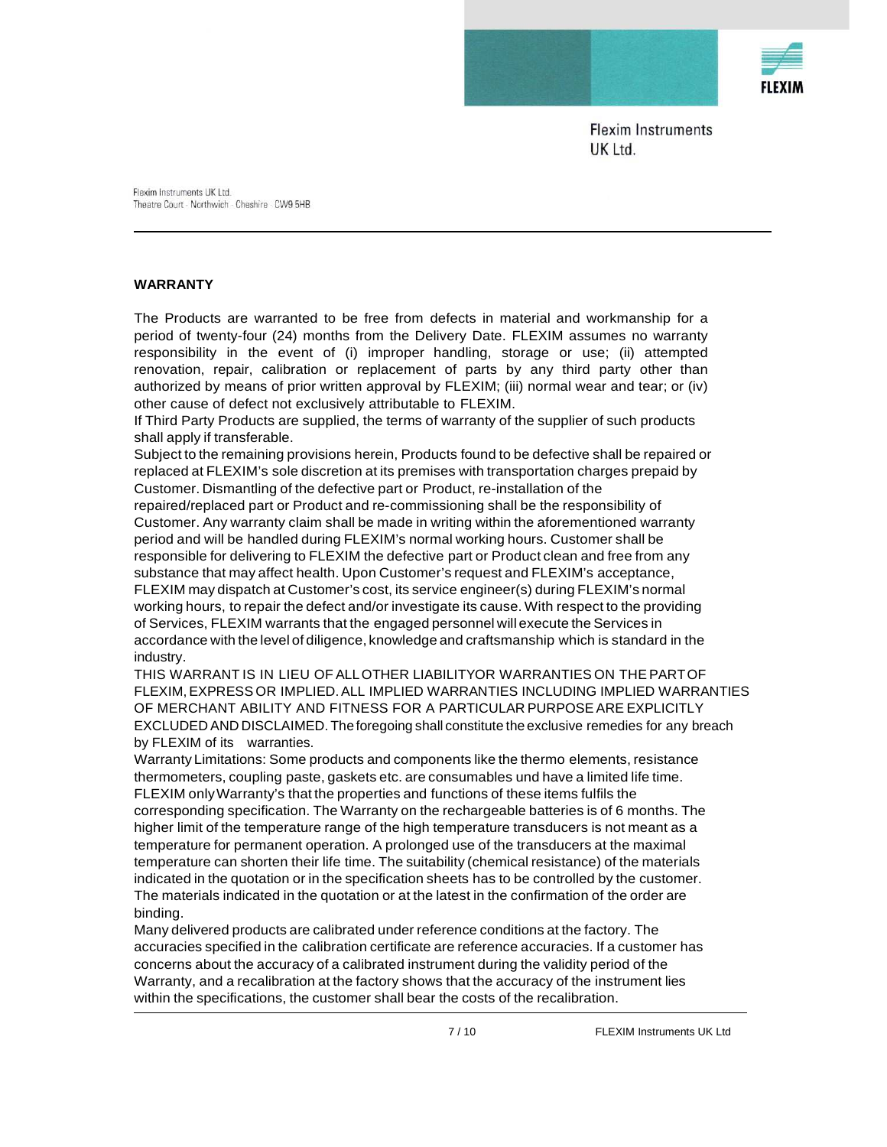

Flexim Instruments UK Ltd. Theatre Court · Northwich · Cheshire · CW9 5HB

#### **WARRANTY**

The Products are warranted to be free from defects in material and workmanship for a period of twenty-four (24) months from the Delivery Date. FLEXIM assumes no warranty responsibility in the event of (i) improper handling, storage or use; (ii) attempted renovation, repair, calibration or replacement of parts by any third party other than authorized by means of prior written approval by FLEXIM; (iii) normal wear and tear; or (iv) other cause of defect not exclusively attributable to FLEXIM.

If Third Party Products are supplied, the terms of warranty of the supplier of such products shall apply if transferable.

Subject to the remaining provisions herein, Products found to be defective shall be repaired or replaced at FLEXIM's sole discretion at its premises with transportation charges prepaid by Customer. Dismantling of the defective part or Product, re-installation of the

repaired/replaced part or Product and re-commissioning shall be the responsibility of Customer. Any warranty claim shall be made in writing within the aforementioned warranty period and will be handled during FLEXIM's normal working hours. Customer shall be responsible for delivering to FLEXIM the defective part or Product clean and free from any substance that may affect health. Upon Customer's request and FLEXIM's acceptance, FLEXIM may dispatch at Customer's cost, its service engineer(s) during FLEXIM's normal working hours, to repair the defect and/or investigate its cause. With respect to the providing of Services, FLEXIM warrants that the engaged personnel will execute the Services in accordance with the level of diligence, knowledge and craftsmanship which is standard in the industry.

THIS WARRANT IS IN LIEU OF ALL OTHER LIABILITYOR WARRANTIES ON THE PART OF FLEXIM, EXPRESS OR IMPLIED. ALL IMPLIED WARRANTIES INCLUDING IMPLIED WARRANTIES OF MERCHANT ABILITY AND FITNESS FOR A PARTICULAR PURPOSE ARE EXPLICITLY EXCLUDED AND DISCLAIMED. The foregoing shall constitute the exclusive remedies for any breach by FLEXIM of its warranties.

Warranty Limitations: Some products and components like the thermo elements, resistance thermometers, coupling paste, gaskets etc. are consumables und have a limited life time. FLEXIM only Warranty's that the properties and functions of these items fulfils the corresponding specification. The Warranty on the rechargeable batteries is of 6 months. The higher limit of the temperature range of the high temperature transducers is not meant as a temperature for permanent operation. A prolonged use of the transducers at the maximal temperature can shorten their life time. The suitability (chemical resistance) of the materials indicated in the quotation or in the specification sheets has to be controlled by the customer. The materials indicated in the quotation or at the latest in the confirmation of the order are binding.

Many delivered products are calibrated under reference conditions at the factory. The accuracies specified in the calibration certificate are reference accuracies. If a customer has concerns about the accuracy of a calibrated instrument during the validity period of the Warranty, and a recalibration at the factory shows that the accuracy of the instrument lies within the specifications, the customer shall bear the costs of the recalibration.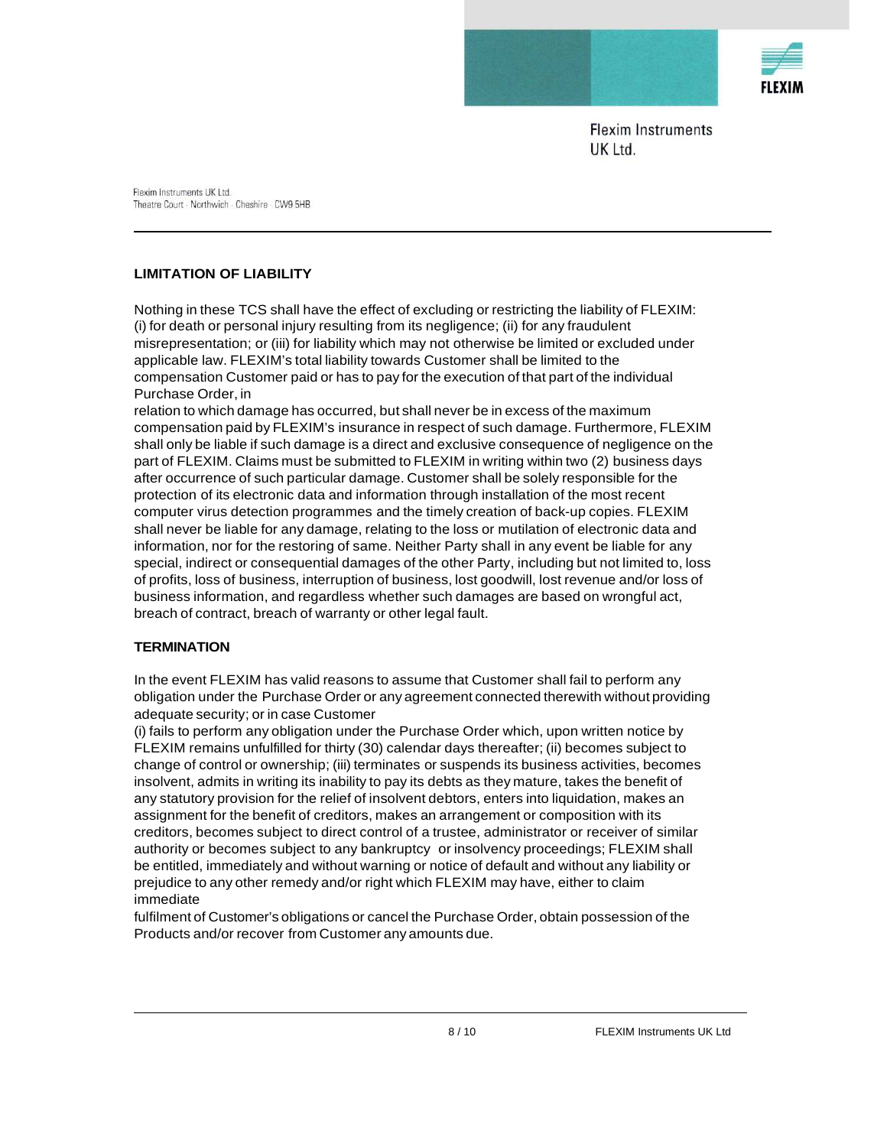

Flexim Instruments UK Ltd. Theatre Court · Northwich · Cheshire · CW9 5HB

# **LIMITATION OF LIABILITY**

Nothing in these TCS shall have the effect of excluding or restricting the liability of FLEXIM: (i) for death or personal injury resulting from its negligence; (ii) for any fraudulent misrepresentation; or (iii) for liability which may not otherwise be limited or excluded under applicable law. FLEXIM's total liability towards Customer shall be limited to the compensation Customer paid or has to pay for the execution of that part of the individual Purchase Order, in

relation to which damage has occurred, but shall never be in excess of the maximum compensation paid by FLEXIM's insurance in respect of such damage. Furthermore, FLEXIM shall only be liable if such damage is a direct and exclusive consequence of negligence on the part of FLEXIM. Claims must be submitted to FLEXIM in writing within two (2) business days after occurrence of such particular damage. Customer shall be solely responsible for the protection of its electronic data and information through installation of the most recent computer virus detection programmes and the timely creation of back-up copies. FLEXIM shall never be liable for any damage, relating to the loss or mutilation of electronic data and information, nor for the restoring of same. Neither Party shall in any event be liable for any special, indirect or consequential damages of the other Party, including but not limited to, loss of profits, loss of business, interruption of business, lost goodwill, lost revenue and/or loss of business information, and regardless whether such damages are based on wrongful act, breach of contract, breach of warranty or other legal fault.

### **TERMINATION**

In the event FLEXIM has valid reasons to assume that Customer shall fail to perform any obligation under the Purchase Order or any agreement connected therewith without providing adequate security; or in case Customer

(i) fails to perform any obligation under the Purchase Order which, upon written notice by FLEXIM remains unfulfilled for thirty (30) calendar days thereafter; (ii) becomes subject to change of control or ownership; (iii) terminates or suspends its business activities, becomes insolvent, admits in writing its inability to pay its debts as they mature, takes the benefit of any statutory provision for the relief of insolvent debtors, enters into liquidation, makes an assignment for the benefit of creditors, makes an arrangement or composition with its creditors, becomes subject to direct control of a trustee, administrator or receiver of similar authority or becomes subject to any bankruptcy or insolvency proceedings; FLEXIM shall be entitled, immediately and without warning or notice of default and without any liability or prejudice to any other remedy and/or right which FLEXIM may have, either to claim immediate

fulfilment of Customer's obligations or cancel the Purchase Order, obtain possession of the Products and/or recover from Customer any amounts due.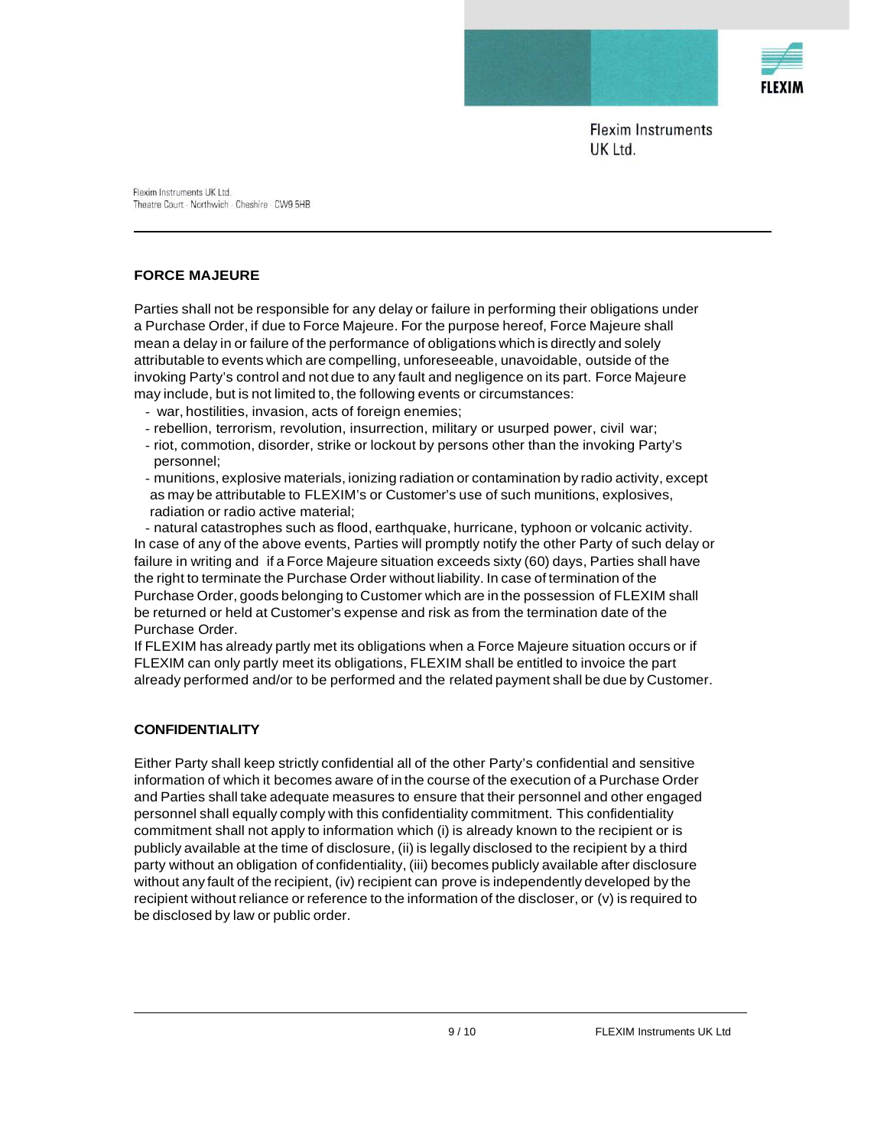

Flexim Instruments UK Ltd. Theatre Court - Northwich - Cheshire - CW9 5HB

## **FORCE MAJEURE**

Parties shall not be responsible for any delay or failure in performing their obligations under a Purchase Order, if due to Force Majeure. For the purpose hereof, Force Majeure shall mean a delay in or failure of the performance of obligations which is directly and solely attributable to events which are compelling, unforeseeable, unavoidable, outside of the invoking Party's control and not due to any fault and negligence on its part. Force Majeure may include, but is not limited to, the following events or circumstances:

- war, hostilities, invasion, acts of foreign enemies;
- rebellion, terrorism, revolution, insurrection, military or usurped power, civil war;
- riot, commotion, disorder, strike or lockout by persons other than the invoking Party's personnel;
- munitions, explosive materials, ionizing radiation or contamination by radio activity, except as may be attributable to FLEXIM's or Customer's use of such munitions, explosives, radiation or radio active material;

- natural catastrophes such as flood, earthquake, hurricane, typhoon or volcanic activity. In case of any of the above events, Parties will promptly notify the other Party of such delay or failure in writing and if a Force Majeure situation exceeds sixty (60) days, Parties shall have the right to terminate the Purchase Order without liability. In case of termination of the Purchase Order, goods belonging to Customer which are in the possession of FLEXIM shall be returned or held at Customer's expense and risk as from the termination date of the Purchase Order.

If FLEXIM has already partly met its obligations when a Force Majeure situation occurs or if FLEXIM can only partly meet its obligations, FLEXIM shall be entitled to invoice the part already performed and/or to be performed and the related payment shall be due by Customer.

### **CONFIDENTIALITY**

Either Party shall keep strictly confidential all of the other Party's confidential and sensitive information of which it becomes aware of in the course of the execution of a Purchase Order and Parties shall take adequate measures to ensure that their personnel and other engaged personnel shall equally comply with this confidentiality commitment. This confidentiality commitment shall not apply to information which (i) is already known to the recipient or is publicly available at the time of disclosure, (ii) is legally disclosed to the recipient by a third party without an obligation of confidentiality, (iii) becomes publicly available after disclosure without any fault of the recipient, (iv) recipient can prove is independently developed by the recipient without reliance or reference to the information of the discloser, or (v) is required to be disclosed by law or public order.